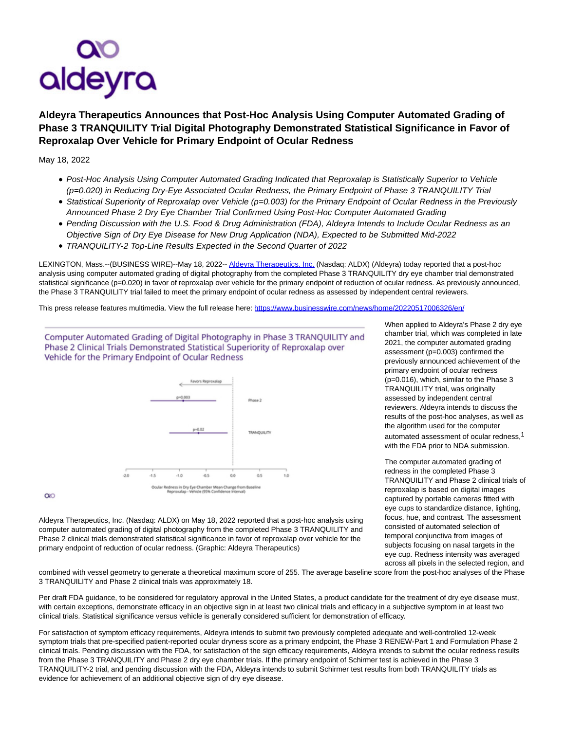

## **Aldeyra Therapeutics Announces that Post-Hoc Analysis Using Computer Automated Grading of Phase 3 TRANQUILITY Trial Digital Photography Demonstrated Statistical Significance in Favor of Reproxalap Over Vehicle for Primary Endpoint of Ocular Redness**

May 18, 2022

- Post-Hoc Analysis Using Computer Automated Grading Indicated that Reproxalap is Statistically Superior to Vehicle (p=0.020) in Reducing Dry-Eye Associated Ocular Redness, the Primary Endpoint of Phase 3 TRANQUILITY Trial
- Statistical Superiority of Reproxalap over Vehicle (p=0.003) for the Primary Endpoint of Ocular Redness in the Previously Announced Phase 2 Dry Eye Chamber Trial Confirmed Using Post-Hoc Computer Automated Grading
- Pending Discussion with the U.S. Food & Drug Administration (FDA), Aldeyra Intends to Include Ocular Redness as an Objective Sign of Dry Eye Disease for New Drug Application (NDA), Expected to be Submitted Mid-2022
- TRANQUILITY-2 Top-Line Results Expected in the Second Quarter of 2022

LEXINGTON, Mass.--(BUSINESS WIRE)--May 18, 2022-[- Aldeyra Therapeutics, Inc. \(](https://cts.businesswire.com/ct/CT?id=smartlink&url=https%3A%2F%2Fwww.aldeyra.com%2F&esheet=52723023&newsitemid=20220517006326&lan=en-US&anchor=Aldeyra+Therapeutics%2C+Inc.&index=1&md5=51c2c30a603b22373c6c09474f6e96bb)Nasdaq: ALDX) (Aldeyra) today reported that a post-hoc analysis using computer automated grading of digital photography from the completed Phase 3 TRANQUILITY dry eye chamber trial demonstrated statistical significance (p=0.020) in favor of reproxalap over vehicle for the primary endpoint of reduction of ocular redness. As previously announced, the Phase 3 TRANQUILITY trial failed to meet the primary endpoint of ocular redness as assessed by independent central reviewers.

This press release features multimedia. View the full release here:<https://www.businesswire.com/news/home/20220517006326/en/>

Computer Automated Grading of Digital Photography in Phase 3 TRANQUILITY and Phase 2 Clinical Trials Demonstrated Statistical Superiority of Reproxalap over Vehicle for the Primary Endpoint of Ocular Redness



 $\infty$ 

Aldeyra Therapeutics, Inc. (Nasdaq: ALDX) on May 18, 2022 reported that a post-hoc analysis using computer automated grading of digital photography from the completed Phase 3 TRANQUILITY and Phase 2 clinical trials demonstrated statistical significance in favor of reproxalap over vehicle for the primary endpoint of reduction of ocular redness. (Graphic: Aldeyra Therapeutics)

When applied to Aldeyra's Phase 2 dry eye chamber trial, which was completed in late 2021, the computer automated grading assessment (p=0.003) confirmed the previously announced achievement of the primary endpoint of ocular redness (p=0.016), which, similar to the Phase 3 TRANQUILITY trial, was originally assessed by independent central reviewers. Aldeyra intends to discuss the results of the post-hoc analyses, as well as the algorithm used for the computer automated assessment of ocular redness,<sup>1</sup> with the FDA prior to NDA submission.

The computer automated grading of redness in the completed Phase 3 TRANQUILITY and Phase 2 clinical trials of reproxalap is based on digital images captured by portable cameras fitted with eye cups to standardize distance, lighting, focus, hue, and contrast. The assessment consisted of automated selection of temporal conjunctiva from images of subjects focusing on nasal targets in the eye cup. Redness intensity was averaged across all pixels in the selected region, and

combined with vessel geometry to generate a theoretical maximum score of 255. The average baseline score from the post-hoc analyses of the Phase 3 TRANQUILITY and Phase 2 clinical trials was approximately 18.

Per draft FDA guidance, to be considered for regulatory approval in the United States, a product candidate for the treatment of dry eye disease must, with certain exceptions, demonstrate efficacy in an objective sign in at least two clinical trials and efficacy in a subjective symptom in at least two clinical trials. Statistical significance versus vehicle is generally considered sufficient for demonstration of efficacy.

For satisfaction of symptom efficacy requirements, Aldeyra intends to submit two previously completed adequate and well-controlled 12-week symptom trials that pre-specified patient-reported ocular dryness score as a primary endpoint, the Phase 3 RENEW-Part 1 and Formulation Phase 2 clinical trials. Pending discussion with the FDA, for satisfaction of the sign efficacy requirements, Aldeyra intends to submit the ocular redness results from the Phase 3 TRANQUILITY and Phase 2 dry eye chamber trials. If the primary endpoint of Schirmer test is achieved in the Phase 3 TRANQUILITY-2 trial, and pending discussion with the FDA, Aldeyra intends to submit Schirmer test results from both TRANQUILITY trials as evidence for achievement of an additional objective sign of dry eye disease.